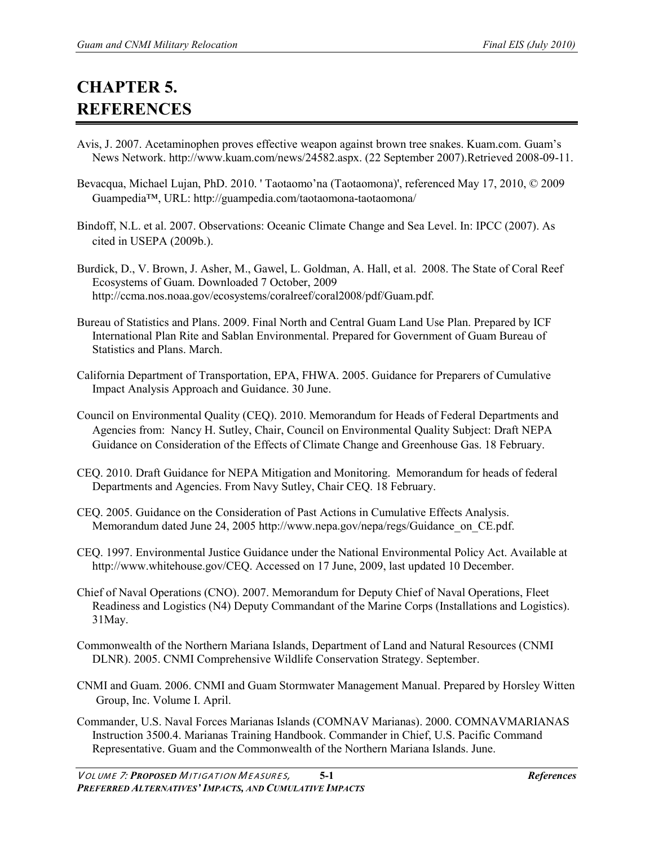## **CHAPTER 5. REFERENCES**

- Avis, J. 2007. [Acetaminophen proves effective weapon against brown tree snakes.](http://www.kuam.com/news/24582.aspx) Kuam.com. Guam's News Network. [http://www.kuam.com/news/24582.aspx.](http://www.kuam.com/news/24582.aspx) (22 September 2007).Retrieved 2008-09-11.
- Bevacqua, Michael Lujan, PhD. 2010. ' Taotaomo'na (Taotaomona)', referenced May 17, 2010, © 2009 Guampedia™, URL: http://guampedia.com/taotaomona-taotaomona/
- Bindoff, N.L. et al. 2007. Observations: Oceanic Climate Change and Sea Level. In: IPCC (2007). As cited in USEPA (2009b.).
- Burdick, D., V. Brown, J. Asher, M., Gawel, L. Goldman, A. Hall, et al. 2008. The State of Coral Reef Ecosystems of Guam. Downloaded 7 October, 2009 http://ccma.nos.noaa.gov/ecosystems/coralreef/coral2008/pdf/Guam.pdf.
- Bureau of Statistics and Plans. 2009. Final North and Central Guam Land Use Plan. Prepared by ICF International Plan Rite and Sablan Environmental. Prepared for Government of Guam Bureau of Statistics and Plans. March.
- California Department of Transportation, EPA, FHWA. 2005. Guidance for Preparers of Cumulative Impact Analysis Approach and Guidance. 30 June.
- Council on Environmental Quality (CEQ). 2010. Memorandum for Heads of Federal Departments and Agencies from: Nancy H. Sutley, Chair, Council on Environmental Quality Subject: Draft NEPA Guidance on Consideration of the Effects of Climate Change and Greenhouse Gas. 18 February.
- CEQ. 2010. Draft Guidance for NEPA Mitigation and Monitoring. Memorandum for heads of federal Departments and Agencies. From Navy Sutley, Chair CEQ. 18 February.
- CEQ. 2005. Guidance on the Consideration of Past Actions in Cumulative Effects Analysis. Memorandum dated June 24, 2005 http://www.nepa.gov/nepa/regs/Guidance\_on\_CE.pdf.
- CEQ. 1997. Environmental Justice Guidance under the National Environmental Policy Act. Available at http://www.whitehouse.gov/CEQ. Accessed on 17 June, 2009, last updated 10 December.
- Chief of Naval Operations (CNO). 2007. Memorandum for Deputy Chief of Naval Operations, Fleet Readiness and Logistics (N4) Deputy Commandant of the Marine Corps (Installations and Logistics). 31May.
- Commonwealth of the Northern Mariana Islands, Department of Land and Natural Resources (CNMI DLNR). 2005. CNMI Comprehensive Wildlife Conservation Strategy. September.
- CNMI and Guam. 2006. CNMI and Guam Stormwater Management Manual. Prepared by Horsley Witten Group, Inc. Volume I. April.
- Commander, U.S. Naval Forces Marianas Islands (COMNAV Marianas). 2000. COMNAVMARIANAS Instruction 3500.4. Marianas Training Handbook. Commander in Chief, U.S. Pacific Command Representative. Guam and the Commonwealth of the Northern Mariana Islands. June.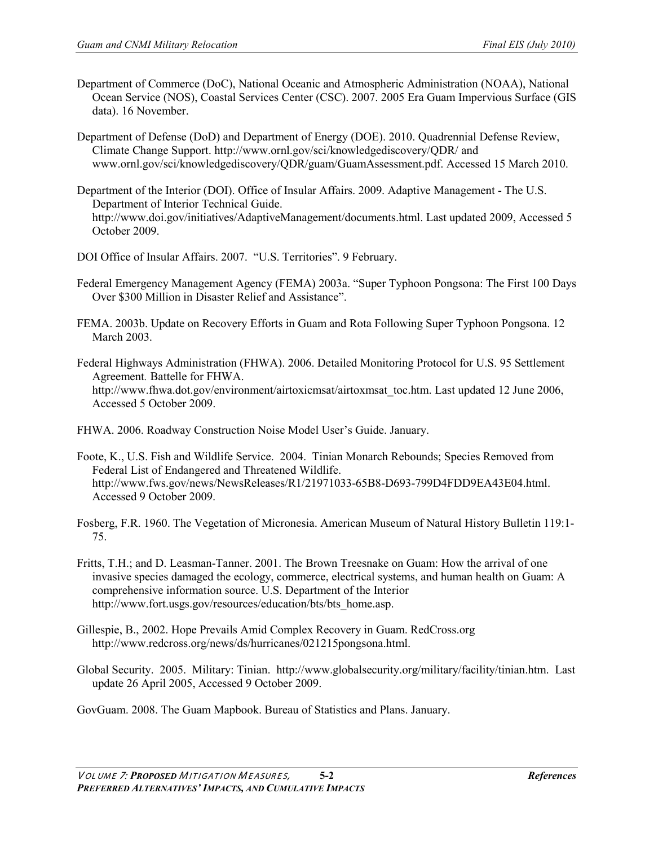- Department of Commerce (DoC), National Oceanic and Atmospheric Administration (NOAA), National Ocean Service (NOS), Coastal Services Center (CSC). 2007. 2005 Era Guam Impervious Surface (GIS data). 16 November.
- Department of Defense (DoD) and Department of Energy (DOE). 2010. Quadrennial Defense Review, Climate Change Support. http://www.ornl.gov/sci/knowledgediscovery/QDR/ and www.ornl.gov/sci/knowledgediscovery/QDR/guam/GuamAssessment.pdf. Accessed 15 March 2010.
- Department of the Interior (DOI). Office of Insular Affairs. 2009. Adaptive Management The U.S. Department of Interior Technical Guide. http://www.doi.gov/initiatives/AdaptiveManagement/documents.html. Last updated 2009, Accessed 5 October 2009.
- DOI Office of Insular Affairs. 2007. "U.S. Territories". 9 February.
- Federal Emergency Management Agency (FEMA) 2003a. "Super Typhoon Pongsona: The First 100 Days Over \$300 Million in Disaster Relief and Assistance".
- FEMA. 2003b. Update on Recovery Efforts in Guam and Rota Following Super Typhoon Pongsona. 12 March 2003.
- Federal Highways Administration (FHWA). 2006. Detailed Monitoring Protocol for U.S. 95 Settlement Agreement*.* Battelle for FHWA. http://www.fhwa.dot.gov/environment/airtoxicmsat/airtoxmsat\_toc.htm. Last updated 12 June 2006, Accessed 5 October 2009.
- FHWA. 2006. Roadway Construction Noise Model User's Guide. January.
- Foote, K., U.S. Fish and Wildlife Service. 2004. Tinian Monarch Rebounds; Species Removed from Federal List of Endangered and Threatened Wildlife. http://www.fws.gov/news/NewsReleases/R1/21971033-65B8-D693-799D4FDD9EA43E04.html. Accessed 9 October 2009.
- Fosberg, F.R. 1960. The Vegetation of Micronesia. American Museum of Natural History Bulletin 119:1- 75.
- Fritts, T.H.; and D. Leasman-Tanner. 2001. The Brown Treesnake on Guam: How the arrival of one invasive species damaged the ecology, commerce, electrical systems, and human health on Guam: A comprehensive information source. U.S. Department of the Interior http://www.fort.usgs.gov/resources/education/bts/bts\_home.asp.
- Gillespie, B., 2002. Hope Prevails Amid Complex Recovery in Guam. RedCross.org http://www.redcross.org/news/ds/hurricanes/021215pongsona.html.
- Global Security. 2005. Military: Tinian. http://www.globalsecurity.org/military/facility/tinian.htm. Last update 26 April 2005, Accessed 9 October 2009.

GovGuam. 2008. The Guam Mapbook. Bureau of Statistics and Plans. January.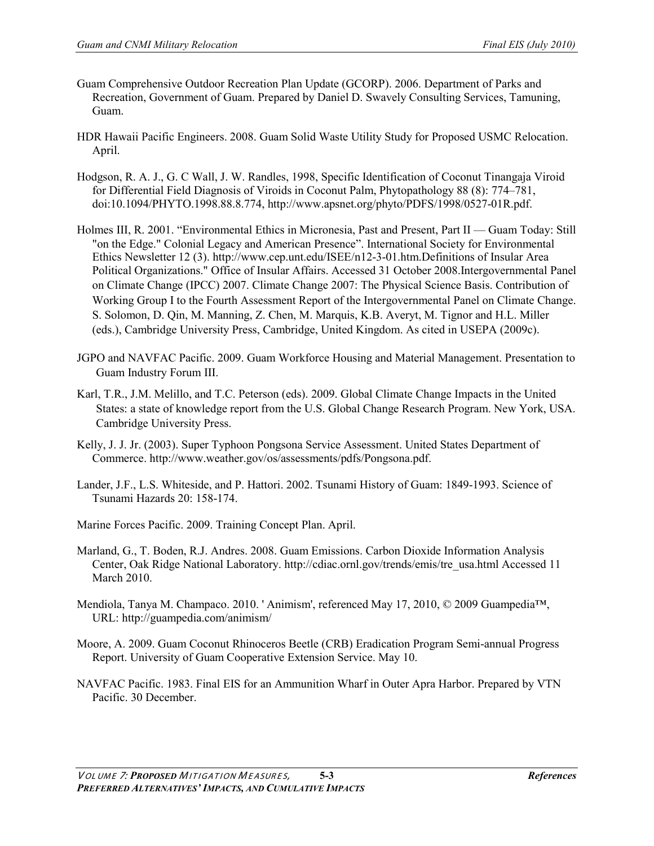- Guam Comprehensive Outdoor Recreation Plan Update (GCORP). 2006. Department of Parks and Recreation, Government of Guam. Prepared by Daniel D. Swavely Consulting Services, Tamuning, Guam.
- HDR Hawaii Pacific Engineers. 2008. Guam Solid Waste Utility Study for Proposed USMC Relocation. April.
- Hodgson, R. A. J., G. C Wall, J. W. Randles, 1998, Specific Identification of Coconut Tinangaja Viroid for Differential Field Diagnosis of Viroids in Coconut Palm, Phytopathology 88 (8): 774–781, doi:10.1094/PHYTO.1998.88.8.774, http://www.apsnet.org/phyto/PDFS/1998/0527-01R.pdf.
- Holmes III, R. 2001. "Environmental Ethics in Micronesia, Past and Present, Part II Guam Today: Still "on the Edge." Colonial Legacy and American Presence". International Society for Environmental Ethics Newsletter 12 (3). http://www.cep.unt.edu/ISEE/n12-3-01.htm.Definitions of Insular Area Political Organizations." Office of Insular Affairs. Accessed 31 October 2008.Intergovernmental Panel on Climate Change (IPCC) 2007. Climate Change 2007: The Physical Science Basis. Contribution of Working Group I to the Fourth Assessment Report of the Intergovernmental Panel on Climate Change. S. Solomon, D. Qin, M. Manning, Z. Chen, M. Marquis, K.B. Averyt, M. Tignor and H.L. Miller (eds.), Cambridge University Press, Cambridge, United Kingdom. As cited in USEPA (2009c).
- JGPO and NAVFAC Pacific. 2009. Guam Workforce Housing and Material Management. Presentation to Guam Industry Forum III.
- Karl, T.R., J.M. Melillo, and T.C. Peterson (eds). 2009. Global Climate Change Impacts in the United States: a state of knowledge report from the U.S. Global Change Research Program. New York, USA. Cambridge University Press.
- Kelly, J. J. Jr. (2003). [Super Typhoon Pongsona Service Assessment.](http://www.weather.gov/os/assessments/pdfs/Pongsona.pdf) United States Department of Commerce. http://www.weather.gov/os/assessments/pdfs/Pongsona.pdf.
- Lander, J.F., L.S. Whiteside, and P. Hattori. 2002. Tsunami History of Guam: 1849-1993. Science of Tsunami Hazards 20: 158-174.
- Marine Forces Pacific. 2009. Training Concept Plan. April.
- Marland, G., T. Boden, R.J. Andres. 2008. Guam Emissions. Carbon Dioxide Information Analysis Center, Oak Ridge National Laboratory. http://cdiac.ornl.gov/trends/emis/tre\_usa.html Accessed 11 March 2010.
- Mendiola, Tanya M. Champaco. 2010. ' Animism', referenced May 17, 2010, © 2009 Guampedia™, URL: http://guampedia.com/animism/
- Moore, A. 2009. Guam Coconut Rhinoceros Beetle (CRB) Eradication Program Semi-annual Progress Report. University of Guam Cooperative Extension Service. May 10.
- NAVFAC Pacific. 1983. Final EIS for an Ammunition Wharf in Outer Apra Harbor. Prepared by VTN Pacific. 30 December.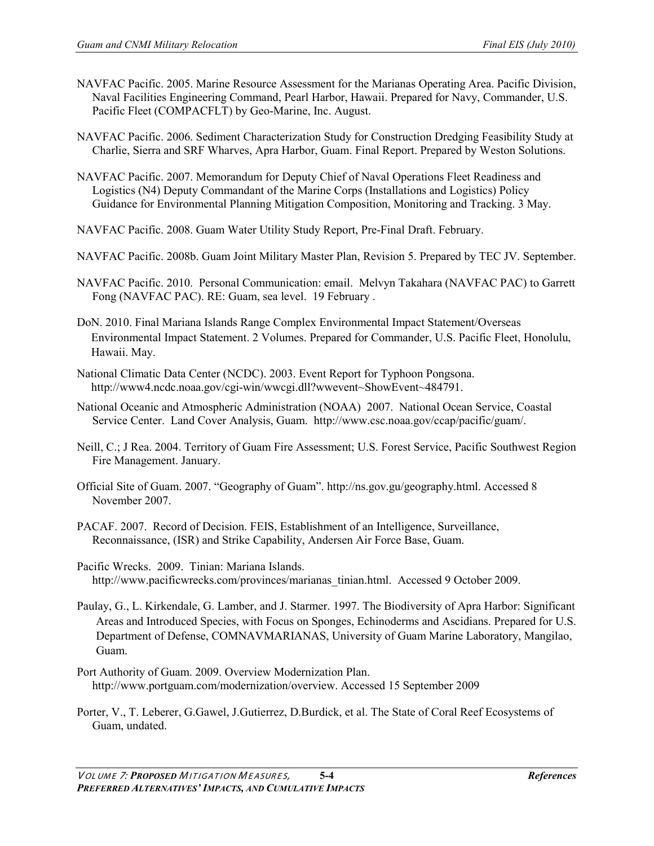- NAVFAC Pacific. 2005. Marine Resource Assessment for the Marianas Operating Area. Pacific Division, Naval Facilities Engineering Command, Pearl Harbor, Hawaii. Prepared for Navy, Commander, U.S. Pacific Fleet (COMPACFLT) by Geo-Marine, Inc. August.
- NAVFAC Pacific. 2006. Sediment Characterization Study for Construction Dredging Feasibility Study at Charlie, Sierra and SRF Wharves, Apra Harbor, Guam. Final Report. Prepared by Weston Solutions.
- NAVFAC Pacific. 2007. Memorandum for Deputy Chief of Naval Operations Fleet Readiness and Logistics (N4) Deputy Commandant of the Marine Corps (Installations and Logistics) Policy Guidance for Environmental Planning Mitigation Composition, Monitoring and Tracking. 3 May.
- NAVFAC Pacific. 2008. Guam Water Utility Study Report, Pre-Final Draft. February.
- NAVFAC Pacific. 2008b. Guam Joint Military Master Plan, Revision 5. Prepared by TEC JV. September.
- NAVFAC Pacific. 2010. Personal Communication: email. Melvyn Takahara (NAVFAC PAC) to Garrett Fong (NAVFAC PAC). RE: Guam, sea level. 19 February .
- DoN. 2010. Final Mariana Islands Range Complex Environmental Impact Statement/Overseas Environmental Impact Statement. 2 Volumes. Prepared for Commander, U.S. Pacific Fleet, Honolulu, Hawaii. May.
- National Climatic Data Center (NCDC). 2003. Event Report for Typhoon Pongsona. http://www4.ncdc.noaa.gov/cgi-win/wwcgi.dll?wwevent~ShowEvent~484791.
- National Oceanic and Atmospheric Administration (NOAA) 2007. National Ocean Service, Coastal Service Center. Land Cover Analysis, Guam. http://www.csc.noaa.gov/ccap/pacific/guam/.
- Neill, C.; J Rea. 2004. Territory of Guam Fire Assessment; U.S. Forest Service, Pacific Southwest Region Fire Management. January.
- Official Site of Guam. 2007. "Geography of Guam". http://ns.gov.gu/geography.html. Accessed 8 November 2007.
- PACAF. 2007. Record of Decision. FEIS, Establishment of an Intelligence, Surveillance, Reconnaissance, (ISR) and Strike Capability, Andersen Air Force Base, Guam.
- Pacific Wrecks. 2009. Tinian: Mariana Islands. http://www.pacificwrecks.com/provinces/marianas\_tinian.html. Accessed 9 October 2009.
- Paulay, G., L. Kirkendale, G. Lamber, and J. Starmer. 1997. The Biodiversity of Apra Harbor: Significant Areas and Introduced Species, with Focus on Sponges, Echinoderms and Ascidians. Prepared for U.S. Department of Defense, COMNAVMARIANAS, University of Guam Marine Laboratory, Mangilao, Guam.
- Port Authority of Guam. 2009. Overview Modernization Plan. http://www.portguam.com/modernization/overview. Accessed 15 September 2009
- Porter, V., T. Leberer, G.Gawel, J.Gutierrez, D.Burdick, et al. The State of Coral Reef Ecosystems of Guam, undated.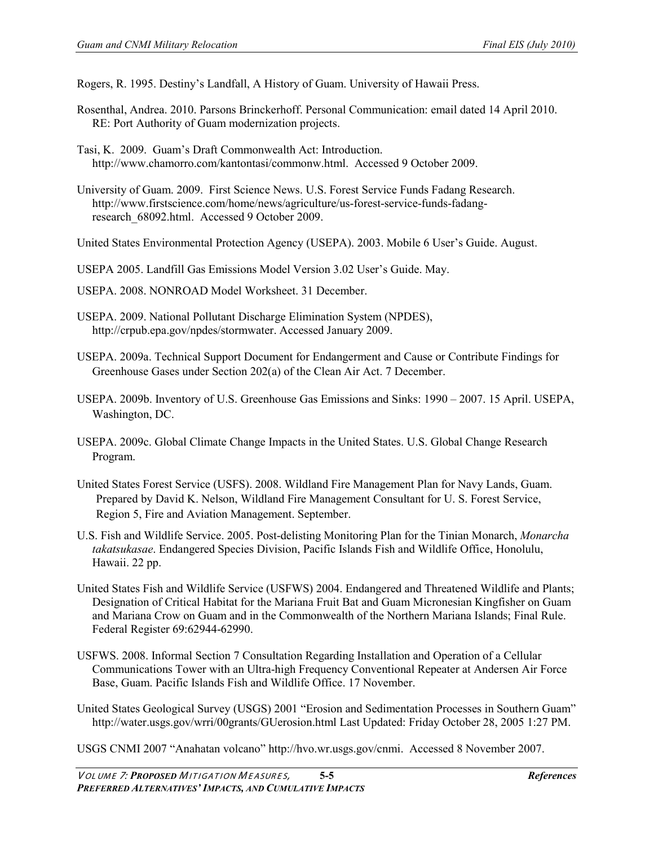Rogers, R. 1995. Destiny's Landfall, A History of Guam. University of Hawaii Press.

Rosenthal, Andrea. 2010. Parsons Brinckerhoff. Personal Communication: email dated 14 April 2010. RE: Port Authority of Guam modernization projects.

Tasi, K. 2009. Guam's Draft Commonwealth Act: Introduction. [http://www.chamorro.com/kantontasi/commonw.html.](http://www.chamorro.com/kantontasi/commonw.html) Accessed 9 October 2009.

University of Guam. 2009. First Science News. U.S. Forest Service Funds Fadang Research. http://www.firstscience.com/home/news/agriculture/us-forest-service-funds-fadangresearch\_68092.html. Accessed 9 October 2009.

United States Environmental Protection Agency (USEPA). 2003. Mobile 6 User's Guide. August.

USEPA 2005. Landfill Gas Emissions Model Version 3.02 User's Guide. May.

USEPA. 2008. NONROAD Model Worksheet. 31 December.

USEPA. 2009. National Pollutant Discharge Elimination System (NPDES), http://crpub.epa.gov/npdes/stormwater. Accessed January 2009.

USEPA. 2009a. Technical Support Document for Endangerment and Cause or Contribute Findings for Greenhouse Gases under Section 202(a) of the Clean Air Act. 7 December.

USEPA. 2009b. Inventory of U.S. Greenhouse Gas Emissions and Sinks: 1990 – 2007. 15 April. USEPA, Washington, DC.

USEPA. 2009c. Global Climate Change Impacts in the United States. U.S. Global Change Research Program.

United States Forest Service (USFS). 2008. Wildland Fire Management Plan for Navy Lands, Guam. Prepared by David K. Nelson, Wildland Fire Management Consultant for U. S. Forest Service, Region 5, Fire and Aviation Management. September.

U.S. Fish and Wildlife Service. 2005. Post-delisting Monitoring Plan for the Tinian Monarch, *Monarcha takatsukasae*. Endangered Species Division, Pacific Islands Fish and Wildlife Office, Honolulu, Hawaii. 22 pp.

United States Fish and Wildlife Service (USFWS) 2004. Endangered and Threatened Wildlife and Plants; Designation of Critical Habitat for the Mariana Fruit Bat and Guam Micronesian Kingfisher on Guam and Mariana Crow on Guam and in the Commonwealth of the Northern Mariana Islands; Final Rule. Federal Register 69:62944-62990.

USFWS. 2008. Informal Section 7 Consultation Regarding Installation and Operation of a Cellular Communications Tower with an Ultra-high Frequency Conventional Repeater at Andersen Air Force Base, Guam. Pacific Islands Fish and Wildlife Office. 17 November.

United States Geological Survey (USGS) 2001 "Erosion and Sedimentation Processes in Southern Guam" http://water.usgs.gov/wrri/00grants/GUerosion.html Last Updated: Friday October 28, 2005 1:27 PM.

USGS CNMI 2007 "Anahatan volcano" http://hvo.wr.usgs.gov/cnmi. Accessed 8 November 2007.